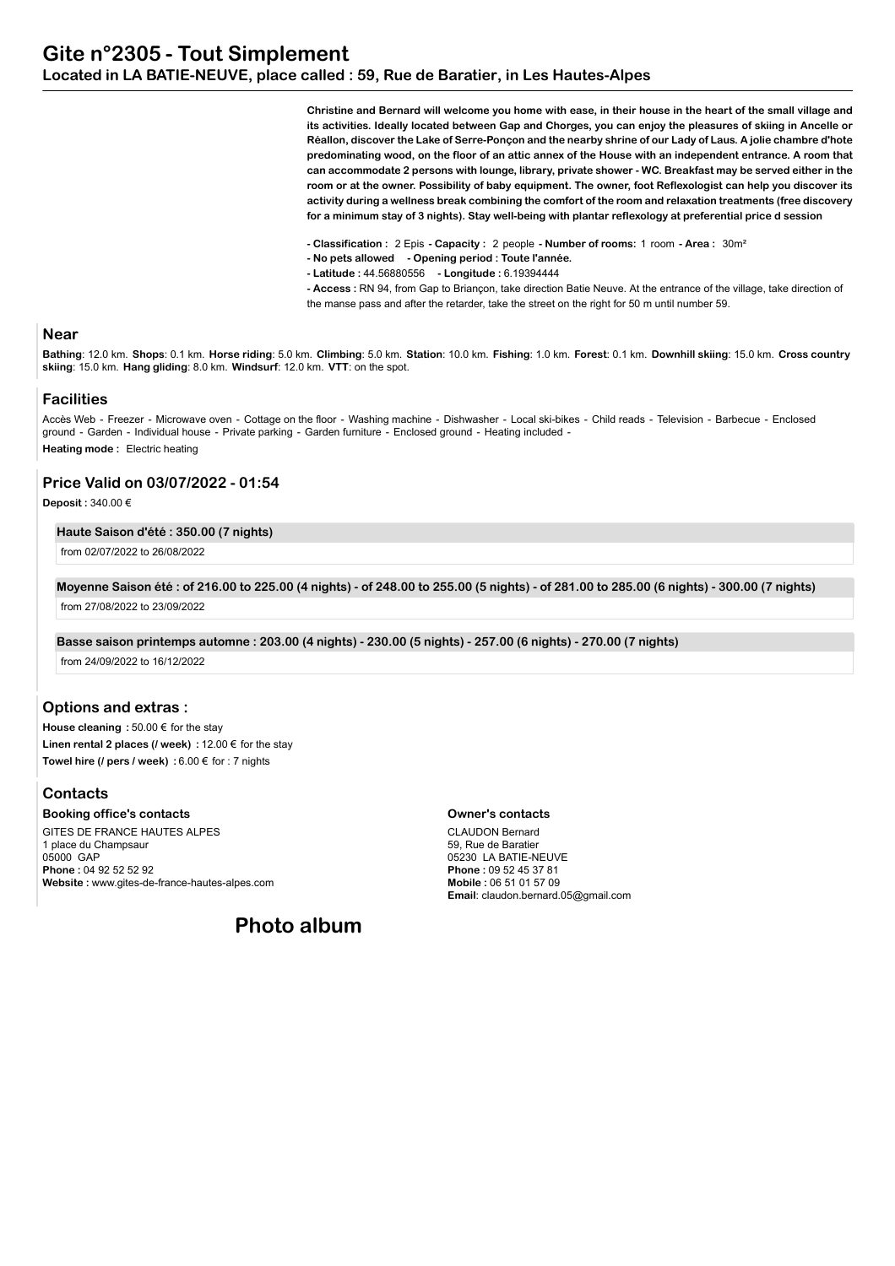**Christine and Bernard will welcome you home with ease, in their house in the heart of the small village and its activities. Ideally located between Gap and Chorges, you can enjoy the pleasures of skiing in Ancelle or Réallon, discover the Lake of Serre-Ponçon and the nearby shrine of our Lady of Laus. A jolie chambre d'hote predominating wood, on the floor of an attic annex of the House with an independent entrance. A room that can accommodate 2 persons with lounge, library, private shower - WC. Breakfast may be served either in the room or at the owner. Possibility of baby equipment. The owner, foot Reflexologist can help you discover its activity during a wellness break combining the comfort of the room and relaxation treatments (free discovery for a minimum stay of 3 nights). Stay well-being with plantar reflexology at preferential price d session**

**- Classification :** 2 Epis **- Capacity :** 2 people **- Number of rooms:** 1 room **- Area :** 30m²

- **No pets allowed Opening period : Toute l'année.**
- **Latitude :** 44.56880556  **Longitude :** 6.19394444

**- Access :** RN 94, from Gap to Briançon, take direction Batie Neuve. At the entrance of the village, take direction of the manse pass and after the retarder, take the street on the right for 50 m until number 59.

### **Near**

Bathing: 12.0 km. Shops: 0.1 km. Horse riding: 5.0 km. Climbing: 5.0 km. Station: 10.0 km. Fishing: 1.0 km. Forest: 0.1 km. Downhill skiing: 15.0 km. Cross country **skiing**: 15.0 km. **Hang gliding**: 8.0 km. **Windsurf**: 12.0 km. **VTT**: on the spot.

#### **Facilities**

Accès Web - Freezer - Microwave oven - Cottage on the floor - Washing machine - Dishwasher - Local ski-bikes - Child reads - Television - Barbecue - Enclosed ground - Garden - Individual house - Private parking - Garden furniture - Enclosed ground - Heating included - **Heating mode :** Electric heating

# **Price Valid on 03/07/2022 - 01:54**

**Deposit :** 340.00 €

#### **Haute Saison d'été : 350.00 (7 nights)**

from 02/07/2022 to 26/08/2022

**Moyenne Saison été : of 216.00 to 225.00 (4 nights) - of 248.00 to 255.00 (5 nights) - of 281.00 to 285.00 (6 nights) - 300.00 (7 nights)** from 27/08/2022 to 23/09/2022

**Basse saison printemps automne : 203.00 (4 nights) - 230.00 (5 nights) - 257.00 (6 nights) - 270.00 (7 nights)**

from 24/09/2022 to 16/12/2022

# **Options and extras :**

**House cleaning :** 50.00 € for the stay **Linen rental 2 places (/ week) :** 12.00 € for the stay **Towel hire (/ pers / week) :** 6.00 € for : 7 nights

# **Contacts**

**Booking office's contacts** GITES DE FRANCE HAUTES ALPES 1 place du Champsaur 05000 GAP **Phone :** 04 92 52 52 92 **Website :** www.gites-de-france-hautes-alpes.com

#### **Owner's contacts**

CLAUDON Bernard 59, Rue de Baratier 05230 LA BATIE-NEUVE **Phone :** 09 52 45 37 81 **Mobile :** 06 51 01 57 09 **Email**: claudon.bernard.05@gmail.com

**Photo album**